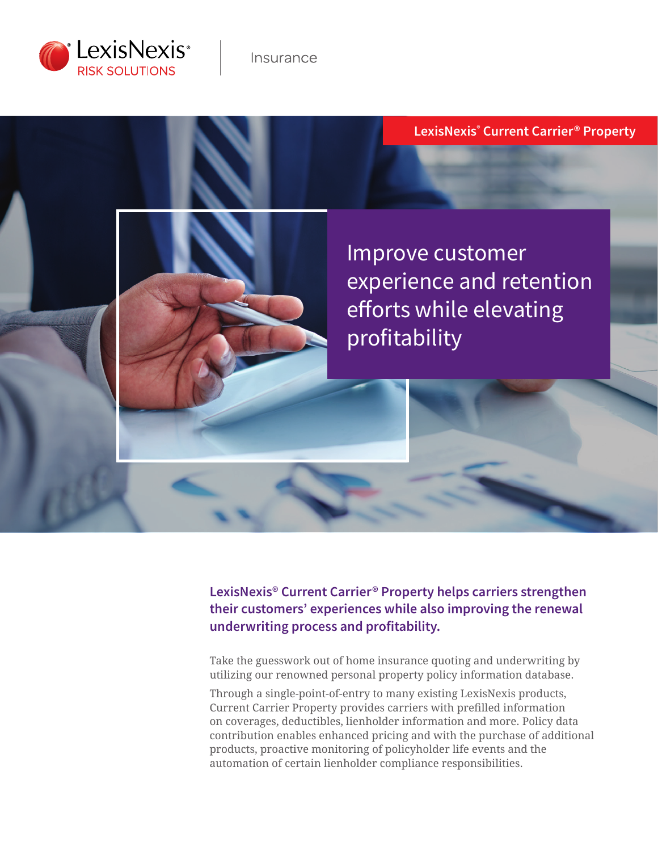

# **LexisNexis® Current Carrier® Property**

Improve customer experience and retention efforts while elevating profitability

**LexisNexis® Current Carrier® Property helps carriers strengthen their customers' experiences while also improving the renewal underwriting process and profitability.** 

Take the guesswork out of home insurance quoting and underwriting by utilizing our renowned personal property policy information database.

Through a single-point-of-entry to many existing LexisNexis products, Current Carrier Property provides carriers with prefilled information on coverages, deductibles, lienholder information and more. Policy data contribution enables enhanced pricing and with the purchase of additional products, proactive monitoring of policyholder life events and the automation of certain lienholder compliance responsibilities.